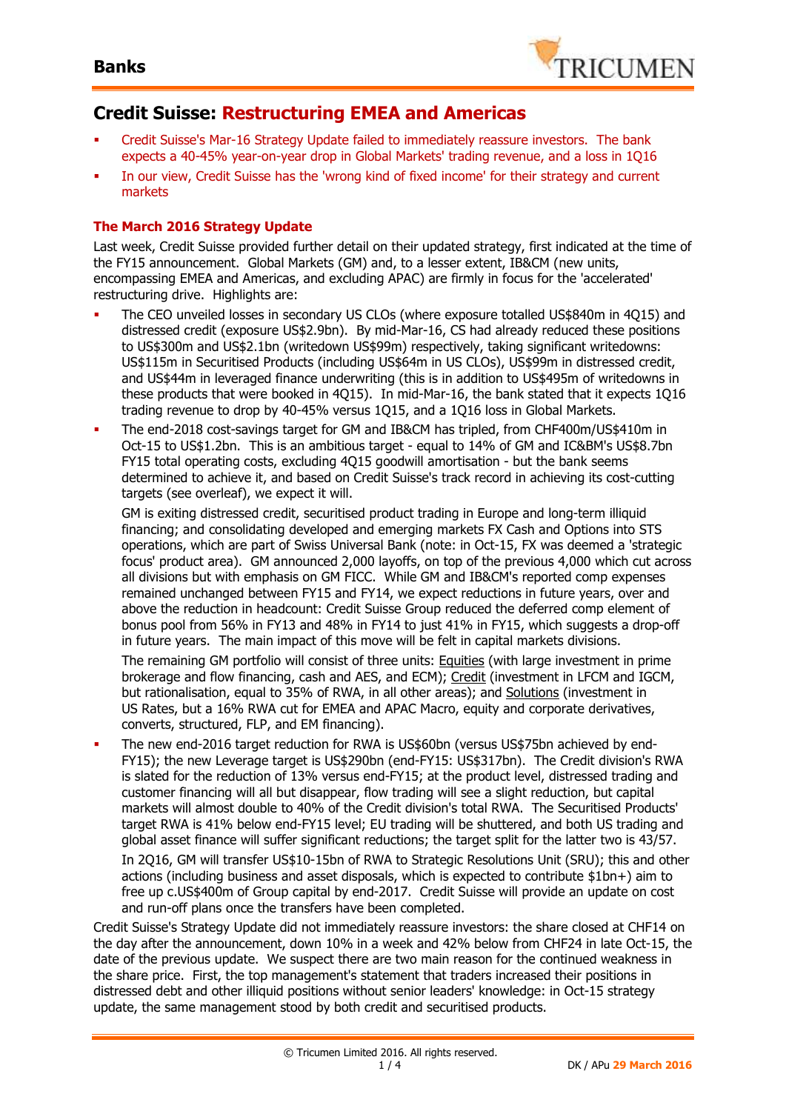

### **Credit Suisse: Restructuring EMEA and Americas**

- Credit Suisse's Mar-16 Strategy Update failed to immediately reassure investors. The bank expects a 40-45% year-on-year drop in Global Markets' trading revenue, and a loss in 1Q16
- In our view, Credit Suisse has the 'wrong kind of fixed income' for their strategy and current markets

### **The March 2016 Strategy Update**

Last week, Credit Suisse provided further detail on their updated strategy, first indicated at the time of the FY15 announcement. Global Markets (GM) and, to a lesser extent, IB&CM (new units, encompassing EMEA and Americas, and excluding APAC) are firmly in focus for the 'accelerated' restructuring drive. Highlights are:

- The CEO unveiled losses in secondary US CLOs (where exposure totalled US\$840m in 4Q15) and distressed credit (exposure US\$2.9bn). By mid-Mar-16, CS had already reduced these positions to US\$300m and US\$2.1bn (writedown US\$99m) respectively, taking significant writedowns: US\$115m in Securitised Products (including US\$64m in US CLOs), US\$99m in distressed credit, and US\$44m in leveraged finance underwriting (this is in addition to US\$495m of writedowns in these products that were booked in 4Q15). In mid-Mar-16, the bank stated that it expects 1Q16 trading revenue to drop by 40-45% versus 1Q15, and a 1Q16 loss in Global Markets.
- The end-2018 cost-savings target for GM and IB&CM has tripled, from CHF400m/US\$410m in Oct-15 to US\$1.2bn. This is an ambitious target - equal to 14% of GM and IC&BM's US\$8.7bn FY15 total operating costs, excluding 4Q15 goodwill amortisation - but the bank seems determined to achieve it, and based on Credit Suisse's track record in achieving its cost-cutting targets (see overleaf), we expect it will.

GM is exiting distressed credit, securitised product trading in Europe and long-term illiquid financing; and consolidating developed and emerging markets FX Cash and Options into STS operations, which are part of Swiss Universal Bank (note: in Oct-15, FX was deemed a 'strategic focus' product area). GM announced 2,000 layoffs, on top of the previous 4,000 which cut across all divisions but with emphasis on GM FICC. While GM and IB&CM's reported comp expenses remained unchanged between FY15 and FY14, we expect reductions in future years, over and above the reduction in headcount: Credit Suisse Group reduced the deferred comp element of bonus pool from 56% in FY13 and 48% in FY14 to just 41% in FY15, which suggests a drop-off in future years. The main impact of this move will be felt in capital markets divisions.

The remaining GM portfolio will consist of three units: Equities (with large investment in prime brokerage and flow financing, cash and AES, and ECM); Credit (investment in LFCM and IGCM, but rationalisation, equal to 35% of RWA, in all other areas); and Solutions (investment in US Rates, but a 16% RWA cut for EMEA and APAC Macro, equity and corporate derivatives, converts, structured, FLP, and EM financing).

 The new end-2016 target reduction for RWA is US\$60bn (versus US\$75bn achieved by end-FY15); the new Leverage target is US\$290bn (end-FY15: US\$317bn). The Credit division's RWA is slated for the reduction of 13% versus end-FY15; at the product level, distressed trading and customer financing will all but disappear, flow trading will see a slight reduction, but capital markets will almost double to 40% of the Credit division's total RWA. The Securitised Products' target RWA is 41% below end-FY15 level; EU trading will be shuttered, and both US trading and global asset finance will suffer significant reductions; the target split for the latter two is 43/57.

In 2Q16, GM will transfer US\$10-15bn of RWA to Strategic Resolutions Unit (SRU); this and other actions (including business and asset disposals, which is expected to contribute \$1bn+) aim to free up c.US\$400m of Group capital by end-2017. Credit Suisse will provide an update on cost and run-off plans once the transfers have been completed.

Credit Suisse's Strategy Update did not immediately reassure investors: the share closed at CHF14 on the day after the announcement, down 10% in a week and 42% below from CHF24 in late Oct-15, the date of the previous update. We suspect there are two main reason for the continued weakness in the share price. First, the top management's statement that traders increased their positions in distressed debt and other illiquid positions without senior leaders' knowledge: in Oct-15 strategy update, the same management stood by both credit and securitised products.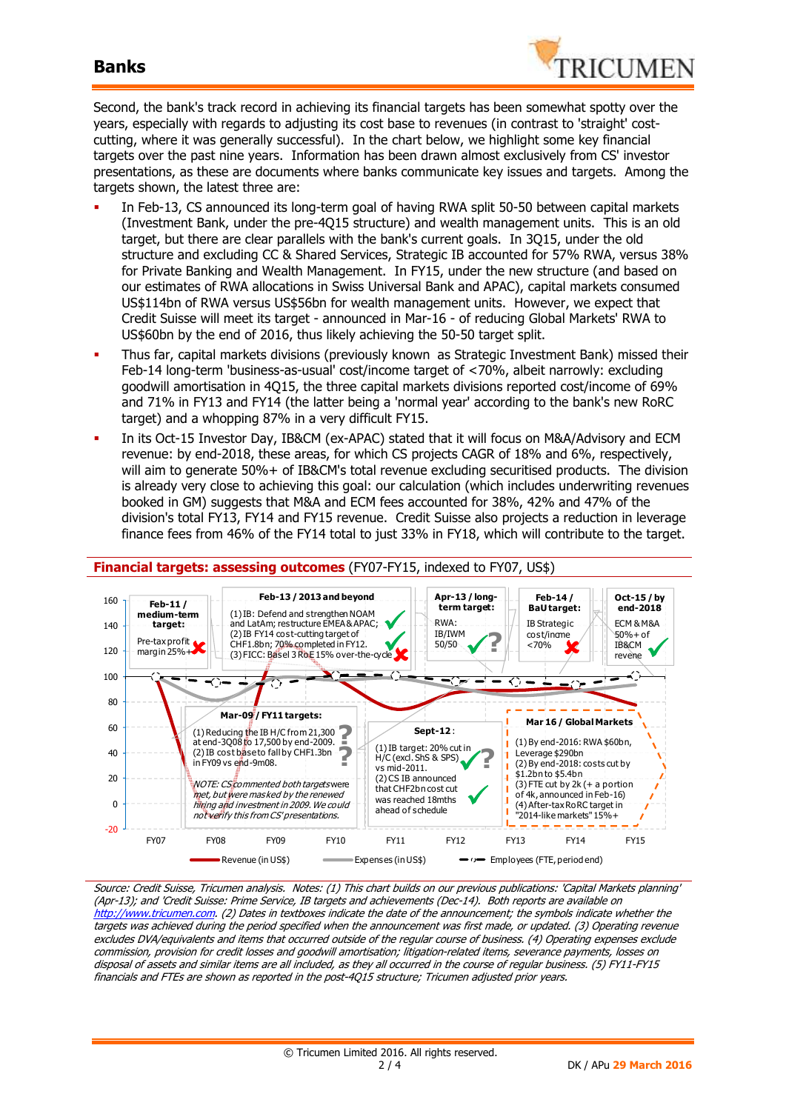

Second, the bank's track record in achieving its financial targets has been somewhat spotty over the years, especially with regards to adjusting its cost base to revenues (in contrast to 'straight' costcutting, where it was generally successful). In the chart below, we highlight some key financial targets over the past nine years. Information has been drawn almost exclusively from CS' investor presentations, as these are documents where banks communicate key issues and targets. Among the targets shown, the latest three are:

- In Feb-13, CS announced its long-term goal of having RWA split 50-50 between capital markets (Investment Bank, under the pre-4Q15 structure) and wealth management units. This is an old target, but there are clear parallels with the bank's current goals. In 3Q15, under the old structure and excluding CC & Shared Services, Strategic IB accounted for 57% RWA, versus 38% for Private Banking and Wealth Management. In FY15, under the new structure (and based on our estimates of RWA allocations in Swiss Universal Bank and APAC), capital markets consumed US\$114bn of RWA versus US\$56bn for wealth management units. However, we expect that Credit Suisse will meet its target - announced in Mar-16 - of reducing Global Markets' RWA to US\$60bn by the end of 2016, thus likely achieving the 50-50 target split.
- Thus far, capital markets divisions (previously known as Strategic Investment Bank) missed their Feb-14 long-term 'business-as-usual' cost/income target of <70%, albeit narrowly: excluding goodwill amortisation in 4Q15, the three capital markets divisions reported cost/income of 69% and 71% in FY13 and FY14 (the latter being a 'normal year' according to the bank's new RoRC target) and a whopping 87% in a very difficult FY15.
- In its Oct-15 Investor Day, IB&CM (ex-APAC) stated that it will focus on M&A/Advisory and ECM revenue: by end-2018, these areas, for which CS projects CAGR of 18% and 6%, respectively, will aim to generate 50%+ of IB&CM's total revenue excluding securitised products. The division is already very close to achieving this goal: our calculation (which includes underwriting revenues booked in GM) suggests that M&A and ECM fees accounted for 38%, 42% and 47% of the division's total FY13, FY14 and FY15 revenue. Credit Suisse also projects a reduction in leverage finance fees from 46% of the FY14 total to just 33% in FY18, which will contribute to the target.



Source: Credit Suisse, Tricumen analysis. Notes: (1) This chart builds on our previous publications: 'Capital Markets planning' (Apr-13); and 'Credit Suisse: Prime Service, IB targets and achievements (Dec-14). Both reports are available on http://www.tricumen.com. (2) Dates in textboxes indicate the date of the announcement; the symbols indicate whether the targets was achieved during the period specified when the announcement was first made, or updated. (3) Operating revenue excludes DVA/equivalents and items that occurred outside of the regular course of business. (4) Operating expenses exclude commission, provision for credit losses and goodwill amortisation; litigation-related items, severance payments, losses on disposal of assets and similar items are all included, as they all occurred in the course of regular business. (5) FY11-FY15 financials and FTEs are shown as reported in the post-4Q15 structure; Tricumen adjusted prior years.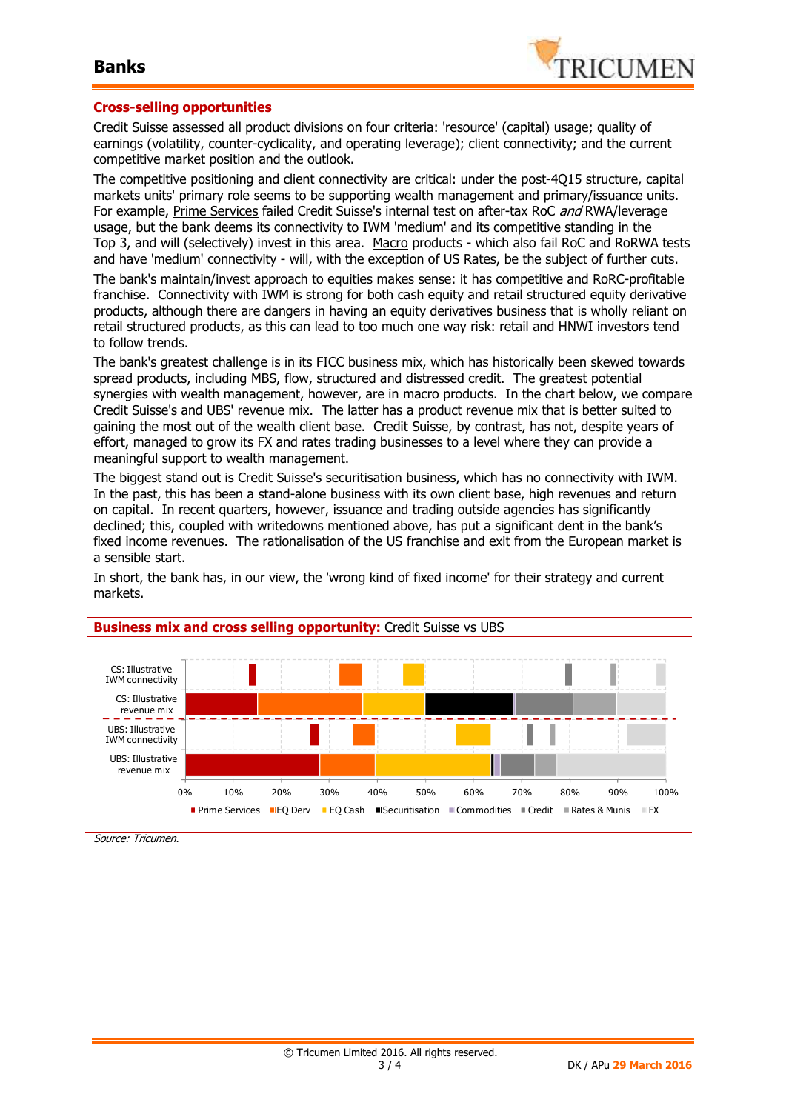

#### **Cross-selling opportunities**

Credit Suisse assessed all product divisions on four criteria: 'resource' (capital) usage; quality of earnings (volatility, counter-cyclicality, and operating leverage); client connectivity; and the current competitive market position and the outlook.

The competitive positioning and client connectivity are critical: under the post-4Q15 structure, capital markets units' primary role seems to be supporting wealth management and primary/issuance units. For example, Prime Services failed Credit Suisse's internal test on after-tax RoC and RWA/leverage usage, but the bank deems its connectivity to IWM 'medium' and its competitive standing in the Top 3, and will (selectively) invest in this area. Macro products - which also fail RoC and RoRWA tests and have 'medium' connectivity - will, with the exception of US Rates, be the subject of further cuts.

The bank's maintain/invest approach to equities makes sense: it has competitive and RoRC-profitable franchise. Connectivity with IWM is strong for both cash equity and retail structured equity derivative products, although there are dangers in having an equity derivatives business that is wholly reliant on retail structured products, as this can lead to too much one way risk: retail and HNWI investors tend to follow trends.

The bank's greatest challenge is in its FICC business mix, which has historically been skewed towards spread products, including MBS, flow, structured and distressed credit. The greatest potential synergies with wealth management, however, are in macro products. In the chart below, we compare Credit Suisse's and UBS' revenue mix. The latter has a product revenue mix that is better suited to gaining the most out of the wealth client base. Credit Suisse, by contrast, has not, despite years of effort, managed to grow its FX and rates trading businesses to a level where they can provide a meaningful support to wealth management.

The biggest stand out is Credit Suisse's securitisation business, which has no connectivity with IWM. In the past, this has been a stand-alone business with its own client base, high revenues and return on capital. In recent quarters, however, issuance and trading outside agencies has significantly declined; this, coupled with writedowns mentioned above, has put a significant dent in the bank's fixed income revenues. The rationalisation of the US franchise and exit from the European market is a sensible start.

In short, the bank has, in our view, the 'wrong kind of fixed income' for their strategy and current markets.



#### **Business mix and cross selling opportunity:** Credit Suisse vs UBS

Source: Tricumen.